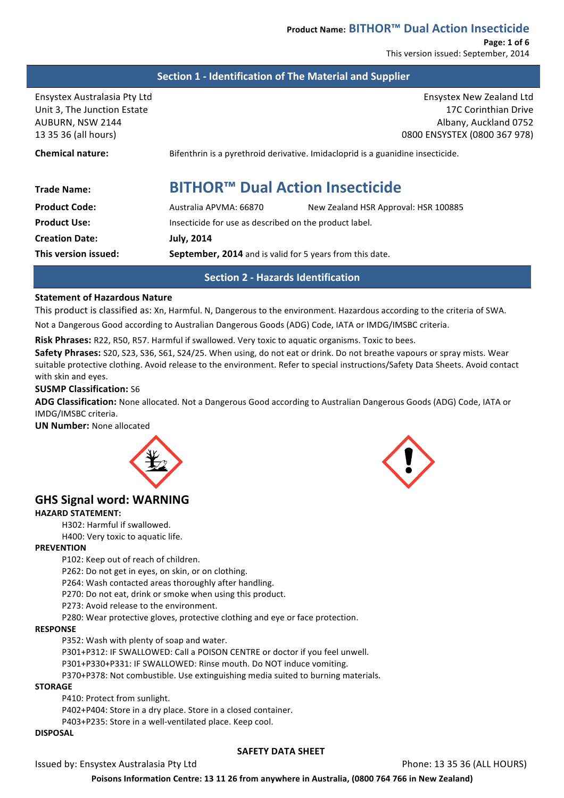**Page: 1 of 6** This version issued: September, 2014

## **Section 1 - Identification of The Material and Supplier**

Ensystex New Zealand Ltd 17C Corinthian Drive Albany, Auckland 0752 0800 ENSYSTEX (0800 367 978)

**Chemical nature: Bifenthrin** is a pyrethroid derivative. Imidacloprid is a guanidine insecticide.

# **Trade Name: BITHOR™ Dual Action Insecticide**

| <b>Product Code:</b>  | Australia APVMA: 66870                                          | New Zealand HSR Approval: HSR 100885 |
|-----------------------|-----------------------------------------------------------------|--------------------------------------|
| <b>Product Use:</b>   | Insecticide for use as described on the product label.          |                                      |
| <b>Creation Date:</b> | <b>July, 2014</b>                                               |                                      |
| This version issued:  | <b>September, 2014</b> and is valid for 5 years from this date. |                                      |

**Section 2 - Hazards Identification**

## **Statement of Hazardous Nature**

This product is classified as: Xn, Harmful. N, Dangerous to the environment. Hazardous according to the criteria of SWA.

Not a Dangerous Good according to Australian Dangerous Goods (ADG) Code, IATA or IMDG/IMSBC criteria.

**Risk Phrases:** R22, R50, R57. Harmful if swallowed. Very toxic to aquatic organisms. Toxic to bees.

**Safety Phrases:** S20, S23, S36, S61, S24/25. When using, do not eat or drink. Do not breathe vapours or spray mists. Wear suitable protective clothing. Avoid release to the environment. Refer to special instructions/Safety Data Sheets. Avoid contact with skin and eyes.

## **SUSMP Classification:** S6

ADG Classification: None allocated. Not a Dangerous Good according to Australian Dangerous Goods (ADG) Code, IATA or IMDG/IMSBC criteria.

**UN Number:** None allocated



# **GHS Signal word: WARNING**

## **HAZARD STATEMENT:**

H302: Harmful if swallowed.

H400: Very toxic to aquatic life.

## **PREVENTION**

P102: Keep out of reach of children.

P262: Do not get in eyes, on skin, or on clothing.

P264: Wash contacted areas thoroughly after handling.

P270: Do not eat, drink or smoke when using this product.

P273: Avoid release to the environment.

P280: Wear protective gloves, protective clothing and eye or face protection.

## **RESPONSE**

P352: Wash with plenty of soap and water.

P301+P312: IF SWALLOWED: Call a POISON CENTRE or doctor if you feel unwell.

P301+P330+P331: IF SWALLOWED: Rinse mouth. Do NOT induce vomiting.

P370+P378: Not combustible. Use extinguishing media suited to burning materials.

#### **STORAGE**

P410: Protect from sunlight.

P402+P404: Store in a dry place. Store in a closed container.

P403+P235: Store in a well-ventilated place. Keep cool.

## **DISPOSAL**

## **SAFETY DATA SHEET**

Issued by: Ensystex Australasia Pty Ltd **Community Community Community Phone:** 13 35 36 (ALL HOURS)

Poisons Information Centre: 13 11 26 from anywhere in Australia, (0800 764 766 in New Zealand)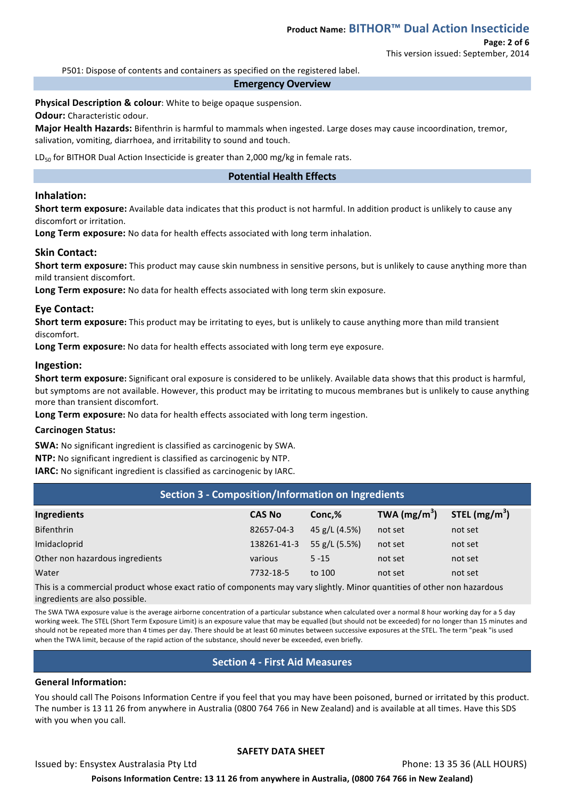# **Page: 2 of 6**

This version issued: September, 2014

P501: Dispose of contents and containers as specified on the registered label.

#### **Emergency Overview**

**Physical Description & colour:** White to beige opaque suspension.

**Odour:** Characteristic odour.

Major Health Hazards: Bifenthrin is harmful to mammals when ingested. Large doses may cause incoordination, tremor, salivation, vomiting, diarrhoea, and irritability to sound and touch.

LD<sub>50</sub> for BITHOR Dual Action Insecticide is greater than 2,000 mg/kg in female rats.

## **Potential Health Effects**

## **Inhalation:**

**Short term exposure:** Available data indicates that this product is not harmful. In addition product is unlikely to cause any discomfort or irritation.

Long Term exposure: No data for health effects associated with long term inhalation.

## **Skin Contact:**

**Short term exposure:** This product may cause skin numbness in sensitive persons, but is unlikely to cause anything more than mild transient discomfort.

Long Term exposure: No data for health effects associated with long term skin exposure.

## **Eye Contact:**

**Short term exposure:** This product may be irritating to eyes, but is unlikely to cause anything more than mild transient discomfort. 

Long Term exposure: No data for health effects associated with long term eye exposure.

## **Ingestion:**

**Short term exposure:** Significant oral exposure is considered to be unlikely. Available data shows that this product is harmful, but symptoms are not available. However, this product may be irritating to mucous membranes but is unlikely to cause anything more than transient discomfort.

**Long Term exposure:** No data for health effects associated with long term ingestion.

## **Carcinogen Status:**

**SWA:** No significant ingredient is classified as carcinogenic by SWA.

**NTP:** No significant ingredient is classified as carcinogenic by NTP.

**IARC:** No significant ingredient is classified as carcinogenic by IARC.

| Section 3 - Composition/Information on Ingredients |               |               |                |                 |  |
|----------------------------------------------------|---------------|---------------|----------------|-----------------|--|
| Ingredients                                        | <b>CAS No</b> | Conc,%        | TWA $(mg/m^3)$ | STEL $(mg/m^3)$ |  |
| <b>Bifenthrin</b>                                  | 82657-04-3    | 45 g/L (4.5%) | not set        | not set         |  |
| Imidacloprid                                       | 138261-41-3   | 55 g/L (5.5%) | not set        | not set         |  |
| Other non hazardous ingredients                    | various       | $5 - 15$      | not set        | not set         |  |
| Water                                              | 7732-18-5     | to 100        | not set        | not set         |  |

This is a commercial product whose exact ratio of components may vary slightly. Minor quantities of other non hazardous ingredients are also possible.

The SWA TWA exposure value is the average airborne concentration of a particular substance when calculated over a normal 8 hour working day for a 5 day working week. The STEL (Short Term Exposure Limit) is an exposure value that may be equalled (but should not be exceeded) for no longer than 15 minutes and should not be repeated more than 4 times per day. There should be at least 60 minutes between successive exposures at the STEL. The term "peak "is used when the TWA limit, because of the rapid action of the substance, should never be exceeded, even briefly.

# **Section 4 - First Aid Measures**

## **General Information:**

You should call The Poisons Information Centre if you feel that you may have been poisoned, burned or irritated by this product. The number is 13 11 26 from anywhere in Australia (0800 764 766 in New Zealand) and is available at all times. Have this SDS with you when you call.

## **SAFETY DATA SHEET**

Issued by: Ensystex Australasia Pty Ltd **Community Community Community Phone:** 13 35 36 (ALL HOURS)

Poisons Information Centre: 13 11 26 from anywhere in Australia, (0800 764 766 in New Zealand)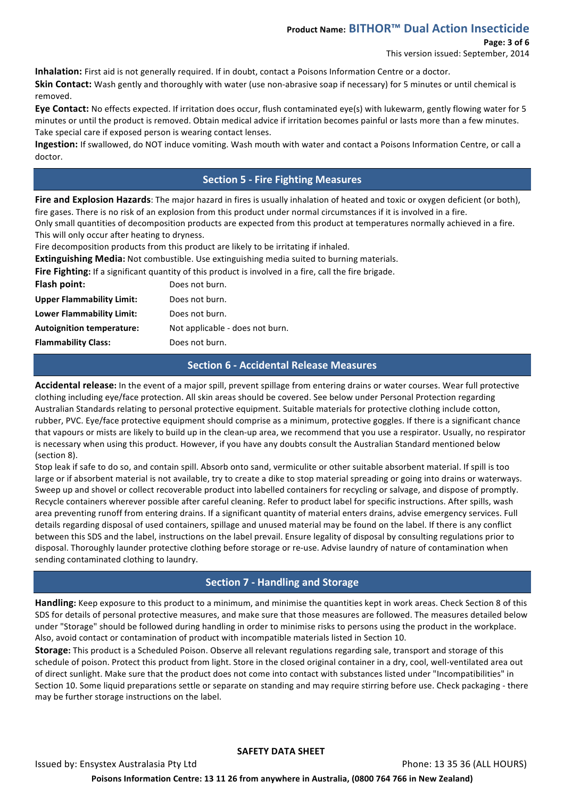# **Product Name: BITHOR™ Dual Action Insecticide**

## **Page: 3 of 6**

This version issued: September, 2014

**Inhalation:** First aid is not generally required. If in doubt, contact a Poisons Information Centre or a doctor.

**Skin Contact:** Wash gently and thoroughly with water (use non-abrasive soap if necessary) for 5 minutes or until chemical is removed. 

Eye Contact: No effects expected. If irritation does occur, flush contaminated eye(s) with lukewarm, gently flowing water for 5 minutes or until the product is removed. Obtain medical advice if irritation becomes painful or lasts more than a few minutes. Take special care if exposed person is wearing contact lenses.

**Ingestion:** If swallowed, do NOT induce vomiting. Wash mouth with water and contact a Poisons Information Centre, or call a doctor.

# **Section 5 - Fire Fighting Measures**

Fire and Explosion Hazards: The major hazard in fires is usually inhalation of heated and toxic or oxygen deficient (or both), fire gases. There is no risk of an explosion from this product under normal circumstances if it is involved in a fire.

Only small quantities of decomposition products are expected from this product at temperatures normally achieved in a fire. This will only occur after heating to dryness.

Fire decomposition products from this product are likely to be irritating if inhaled.

**Extinguishing Media:** Not combustible. Use extinguishing media suited to burning materials.

Fire Fighting: If a significant quantity of this product is involved in a fire, call the fire brigade.

| Flash point:                     | Does not burn.                  |
|----------------------------------|---------------------------------|
| <b>Upper Flammability Limit:</b> | Does not burn.                  |
| <b>Lower Flammability Limit:</b> | Does not burn.                  |
| <b>Autoignition temperature:</b> | Not applicable - does not burn. |
| <b>Flammability Class:</b>       | Does not burn.                  |
|                                  |                                 |

# **Section 6 - Accidental Release Measures**

Accidental release: In the event of a major spill, prevent spillage from entering drains or water courses. Wear full protective clothing including eye/face protection. All skin areas should be covered. See below under Personal Protection regarding Australian Standards relating to personal protective equipment. Suitable materials for protective clothing include cotton, rubber, PVC. Eye/face protective equipment should comprise as a minimum, protective goggles. If there is a significant chance that vapours or mists are likely to build up in the clean-up area, we recommend that you use a respirator. Usually, no respirator is necessary when using this product. However, if you have any doubts consult the Australian Standard mentioned below (section 8).

Stop leak if safe to do so, and contain spill. Absorb onto sand, vermiculite or other suitable absorbent material. If spill is too large or if absorbent material is not available, try to create a dike to stop material spreading or going into drains or waterways. Sweep up and shovel or collect recoverable product into labelled containers for recycling or salvage, and dispose of promptly. Recycle containers wherever possible after careful cleaning. Refer to product label for specific instructions. After spills, wash area preventing runoff from entering drains. If a significant quantity of material enters drains, advise emergency services. Full details regarding disposal of used containers, spillage and unused material may be found on the label. If there is any conflict between this SDS and the label, instructions on the label prevail. Ensure legality of disposal by consulting regulations prior to disposal. Thoroughly launder protective clothing before storage or re-use. Advise laundry of nature of contamination when sending contaminated clothing to laundry.

# **Section 7 - Handling and Storage**

Handling: Keep exposure to this product to a minimum, and minimise the quantities kept in work areas. Check Section 8 of this SDS for details of personal protective measures, and make sure that those measures are followed. The measures detailed below under "Storage" should be followed during handling in order to minimise risks to persons using the product in the workplace. Also, avoid contact or contamination of product with incompatible materials listed in Section 10.

**Storage:** This product is a Scheduled Poison. Observe all relevant regulations regarding sale, transport and storage of this schedule of poison. Protect this product from light. Store in the closed original container in a dry, cool, well-ventilated area out of direct sunlight. Make sure that the product does not come into contact with substances listed under "Incompatibilities" in Section 10. Some liquid preparations settle or separate on standing and may require stirring before use. Check packaging - there may be further storage instructions on the label.

## **SAFETY DATA SHEET**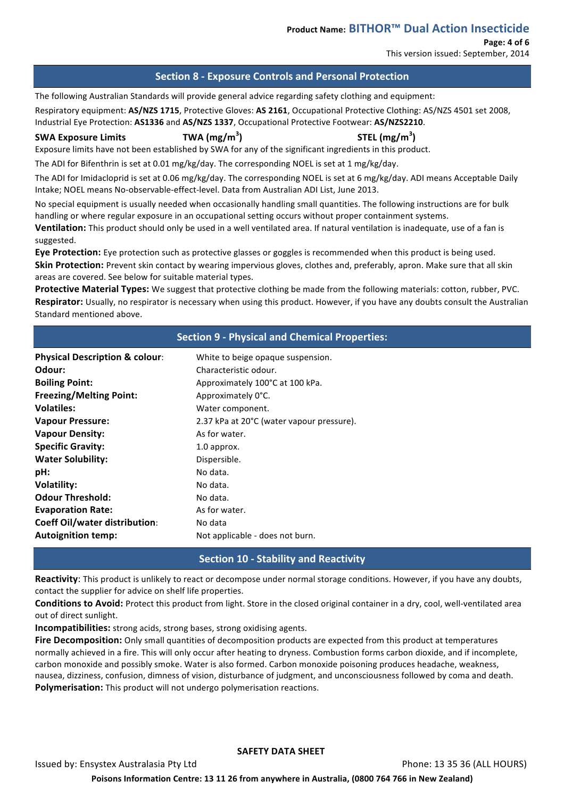## **Page: 4 of 6**

This version issued: September, 2014

## **Section 8 - Exposure Controls and Personal Protection**

The following Australian Standards will provide general advice regarding safety clothing and equipment:

Respiratory equipment: **AS/NZS 1715**, Protective Gloves: **AS 2161**, Occupational Protective Clothing: AS/NZS 4501 set 2008, Industrial Eve Protection: AS1336 and AS/NZS 1337, Occupational Protective Footwear: AS/NZS2210.

**SWA Exposure Limits TWA**  $(mg/m<sup>3</sup>)$ 

**) STEL (mg/m<sup>3</sup> )**

Exposure limits have not been established by SWA for any of the significant ingredients in this product.

The ADI for Bifenthrin is set at 0.01 mg/kg/day. The corresponding NOEL is set at 1 mg/kg/day.

The ADI for Imidacloprid is set at 0.06 mg/kg/day. The corresponding NOEL is set at 6 mg/kg/day. ADI means Acceptable Daily Intake; NOEL means No-observable-effect-level. Data from Australian ADI List, June 2013.

No special equipment is usually needed when occasionally handling small quantities. The following instructions are for bulk handling or where regular exposure in an occupational setting occurs without proper containment systems.

**Ventilation:** This product should only be used in a well ventilated area. If natural ventilation is inadequate, use of a fan is suggested. 

**Eye Protection:** Eye protection such as protective glasses or goggles is recommended when this product is being used. **Skin Protection:** Prevent skin contact by wearing impervious gloves, clothes and, preferably, apron. Make sure that all skin areas are covered. See below for suitable material types.

**Protective Material Types:** We suggest that protective clothing be made from the following materials: cotton, rubber, PVC. **Respirator:** Usually, no respirator is necessary when using this product. However, if you have any doubts consult the Australian Standard mentioned above.

|                                           | <b>Section 9 - Physical and Chemical Properties:</b> |
|-------------------------------------------|------------------------------------------------------|
| <b>Physical Description &amp; colour:</b> | White to beige opaque suspension.                    |
| Odour:                                    | Characteristic odour.                                |
| <b>Boiling Point:</b>                     | Approximately 100°C at 100 kPa.                      |
| <b>Freezing/Melting Point:</b>            | Approximately 0°C.                                   |
| <b>Volatiles:</b>                         | Water component.                                     |
| <b>Vapour Pressure:</b>                   | 2.37 kPa at 20°C (water vapour pressure).            |
| <b>Vapour Density:</b>                    | As for water.                                        |
| <b>Specific Gravity:</b>                  | 1.0 approx.                                          |
| <b>Water Solubility:</b>                  | Dispersible.                                         |
| pH:                                       | No data.                                             |
| <b>Volatility:</b>                        | No data.                                             |
| <b>Odour Threshold:</b>                   | No data.                                             |
| <b>Evaporation Rate:</b>                  | As for water.                                        |
| <b>Coeff Oil/water distribution:</b>      | No data                                              |
| <b>Autoignition temp:</b>                 | Not applicable - does not burn.                      |

# **Section 10 - Stability and Reactivity**

**Reactivity:** This product is unlikely to react or decompose under normal storage conditions. However, if you have any doubts, contact the supplier for advice on shelf life properties.

**Conditions to Avoid:** Protect this product from light. Store in the closed original container in a dry, cool, well-ventilated area out of direct sunlight.

**Incompatibilities:** strong acids, strong bases, strong oxidising agents.

**Fire Decomposition:** Only small quantities of decomposition products are expected from this product at temperatures normally achieved in a fire. This will only occur after heating to dryness. Combustion forms carbon dioxide, and if incomplete, carbon monoxide and possibly smoke. Water is also formed. Carbon monoxide poisoning produces headache, weakness, nausea, dizziness, confusion, dimness of vision, disturbance of judgment, and unconsciousness followed by coma and death. **Polymerisation:** This product will not undergo polymerisation reactions.

## **SAFETY DATA SHEET**

Issued by: Ensystex Australasia Pty Ltd **Community Community Community Phone:** 13 35 36 (ALL HOURS) Poisons Information Centre: 13 11 26 from anywhere in Australia, (0800 764 766 in New Zealand)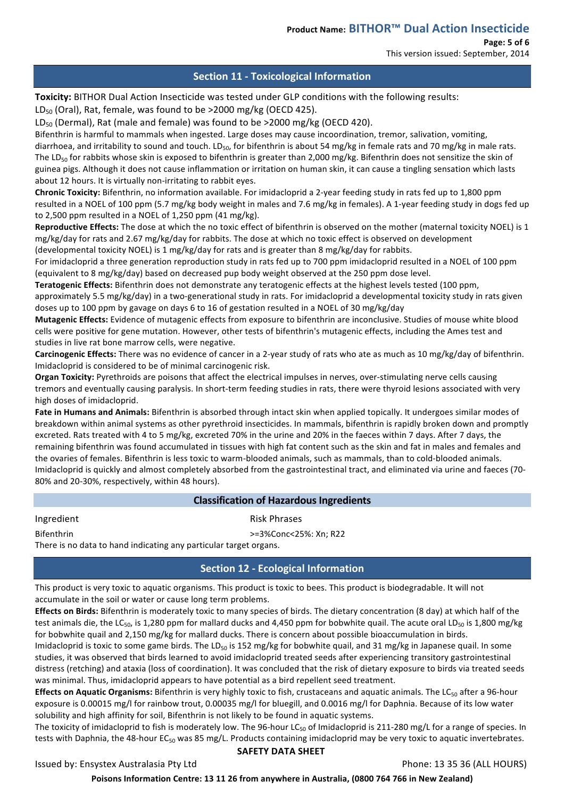**Page: 5 of 6**

This version issued: September, 2014

# **Section 11 - Toxicological Information**

**Toxicity:** BITHOR Dual Action Insecticide was tested under GLP conditions with the following results:

 $LD_{50}$  (Oral), Rat, female, was found to be >2000 mg/kg (OECD 425).

 $LD_{50}$  (Dermal), Rat (male and female) was found to be >2000 mg/kg (OECD 420).

Bifenthrin is harmful to mammals when ingested. Large doses may cause incoordination, tremor, salivation, vomiting, diarrhoea, and irritability to sound and touch. LD<sub>50</sub>, for bifenthrin is about 54 mg/kg in female rats and 70 mg/kg in male rats. The LD<sub>50</sub> for rabbits whose skin is exposed to bifenthrin is greater than 2,000 mg/kg. Bifenthrin does not sensitize the skin of guinea pigs. Although it does not cause inflammation or irritation on human skin, it can cause a tingling sensation which lasts about 12 hours. It is virtually non-irritating to rabbit eyes.

Chronic Toxicity: Bifenthrin, no information available. For imidacloprid a 2-year feeding study in rats fed up to 1,800 ppm resulted in a NOEL of 100 ppm (5.7 mg/kg body weight in males and 7.6 mg/kg in females). A 1-year feeding study in dogs fed up to  $2,500$  ppm resulted in a NOEL of  $1,250$  ppm  $(41 \text{ mg/kg})$ .

**Reproductive Effects:** The dose at which the no toxic effect of bifenthrin is observed on the mother (maternal toxicity NOEL) is 1 mg/kg/day for rats and 2.67 mg/kg/day for rabbits. The dose at which no toxic effect is observed on development (developmental toxicity NOEL) is 1 mg/kg/day for rats and is greater than 8 mg/kg/day for rabbits.

For imidacloprid a three generation reproduction study in rats fed up to 700 ppm imidacloprid resulted in a NOEL of 100 ppm (equivalent to 8 mg/kg/day) based on decreased pup body weight observed at the 250 ppm dose level.

Teratogenic Effects: Bifenthrin does not demonstrate any teratogenic effects at the highest levels tested (100 ppm,

approximately 5.5 mg/kg/day) in a two-generational study in rats. For imidacloprid a developmental toxicity study in rats given doses up to 100 ppm by gavage on days 6 to 16 of gestation resulted in a NOEL of 30 mg/kg/day

**Mutagenic Effects:** Evidence of mutagenic effects from exposure to bifenthrin are inconclusive. Studies of mouse white blood cells were positive for gene mutation. However, other tests of bifenthrin's mutagenic effects, including the Ames test and studies in live rat bone marrow cells, were negative.

Carcinogenic Effects: There was no evidence of cancer in a 2-year study of rats who ate as much as 10 mg/kg/day of bifenthrin. Imidacloprid is considered to be of minimal carcinogenic risk.

Organ Toxicity: Pyrethroids are poisons that affect the electrical impulses in nerves, over-stimulating nerve cells causing tremors and eventually causing paralysis. In short-term feeding studies in rats, there were thyroid lesions associated with very high doses of imidacloprid.

**Fate in Humans and Animals:** Bifenthrin is absorbed through intact skin when applied topically. It undergoes similar modes of breakdown within animal systems as other pyrethroid insecticides. In mammals, bifenthrin is rapidly broken down and promptly excreted. Rats treated with 4 to 5 mg/kg, excreted 70% in the urine and 20% in the faeces within 7 days. After 7 days, the remaining bifenthrin was found accumulated in tissues with high fat content such as the skin and fat in males and females and the ovaries of females. Bifenthrin is less toxic to warm-blooded animals, such as mammals, than to cold-blooded animals. Imidacloprid is quickly and almost completely absorbed from the gastrointestinal tract, and eliminated via urine and faeces (70-80% and 20-30%, respectively, within 48 hours).

# **Classification of Hazardous Ingredients**

Ingredient **Risk Phrases** 

Bifenthrin  $\rightarrow$ =3%Conc<25%: Xn; R22

There is no data to hand indicating any particular target organs.

# **Section 12 - Ecological Information**

This product is very toxic to aquatic organisms. This product is toxic to bees. This product is biodegradable. It will not accumulate in the soil or water or cause long term problems.

**Effects on Birds:** Bifenthrin is moderately toxic to many species of birds. The dietary concentration (8 day) at which half of the test animals die, the LC<sub>50</sub>, is 1,280 ppm for mallard ducks and 4,450 ppm for bobwhite quail. The acute oral LD<sub>50</sub> is 1,800 mg/kg for bobwhite quail and 2,150 mg/kg for mallard ducks. There is concern about possible bioaccumulation in birds.

Imidacloprid is toxic to some game birds. The LD<sub>50</sub> is 152 mg/kg for bobwhite quail, and 31 mg/kg in Japanese quail. In some studies, it was observed that birds learned to avoid imidacloprid treated seeds after experiencing transitory gastrointestinal distress (retching) and ataxia (loss of coordination). It was concluded that the risk of dietary exposure to birds via treated seeds was minimal. Thus, imidacloprid appears to have potential as a bird repellent seed treatment.

**Effects on Aquatic Organisms:** Bifenthrin is very highly toxic to fish, crustaceans and aquatic animals. The LC<sub>50</sub> after a 96-hour exposure is 0.00015 mg/l for rainbow trout, 0.00035 mg/l for bluegill, and 0.0016 mg/l for Daphnia. Because of its low water solubility and high affinity for soil, Bifenthrin is not likely to be found in aquatic systems.

The toxicity of imidacloprid to fish is moderately low. The 96-hour LC<sub>50</sub> of Imidacloprid is 211-280 mg/L for a range of species. In tests with Daphnia, the 48-hour EC<sub>50</sub> was 85 mg/L. Products containing imidacloprid may be very toxic to aquatic invertebrates.

## **SAFETY DATA SHEET**

Issued by: Ensystex Australasia Pty Ltd **Phone:** 13 35 36 (ALL HOURS)

Poisons Information Centre: 13 11 26 from anywhere in Australia, (0800 764 766 in New Zealand)